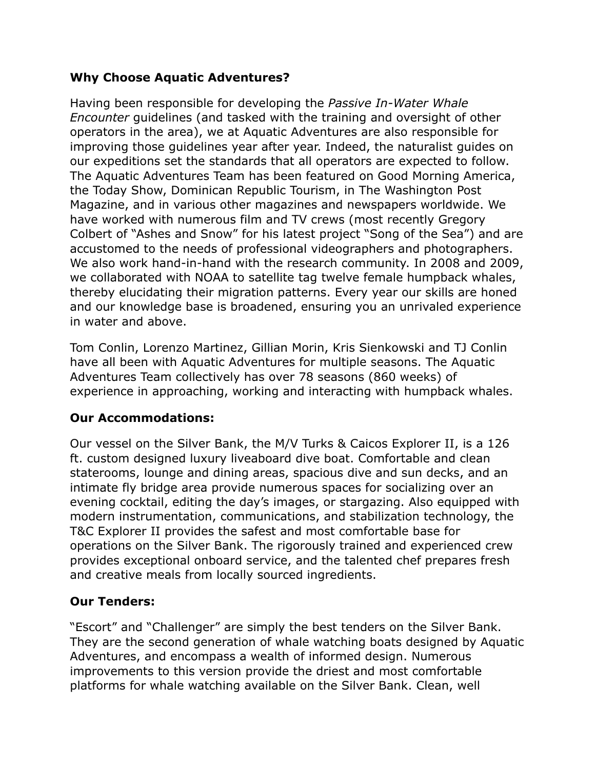## **Why Choose Aquatic Adventures?**

Having been responsible for developing the *Passive In-Water Whale Encounter* guidelines (and tasked with the training and oversight of other operators in the area), we at Aquatic Adventures are also responsible for improving those guidelines year after year. Indeed, the naturalist guides on our expeditions set the standards that all operators are expected to follow. The Aquatic Adventures Team has been featured on Good Morning America, the Today Show, Dominican Republic Tourism, in The Washington Post Magazine, and in various other magazines and newspapers worldwide. We have worked with numerous film and TV crews (most recently Gregory Colbert of "Ashes and Snow" for his latest project "Song of the Sea") and are accustomed to the needs of professional videographers and photographers. We also work hand-in-hand with the research community. In 2008 and 2009, we collaborated with NOAA to satellite tag twelve female humpback whales, thereby elucidating their migration patterns. Every year our skills are honed and our knowledge base is broadened, ensuring you an unrivaled experience in water and above.

Tom Conlin, Lorenzo Martinez, Gillian Morin, Kris Sienkowski and TJ Conlin have all been with Aquatic Adventures for multiple seasons. The Aquatic Adventures Team collectively has over 78 seasons (860 weeks) of experience in approaching, working and interacting with humpback whales.

# **Our Accommodations:**

Our vessel on the Silver Bank, the M/V Turks & Caicos Explorer II, is a 126 ft. custom designed luxury liveaboard dive boat. Comfortable and clean staterooms, lounge and dining areas, spacious dive and sun decks, and an intimate fly bridge area provide numerous spaces for socializing over an evening cocktail, editing the day's images, or stargazing. Also equipped with modern instrumentation, communications, and stabilization technology, the T&C Explorer II provides the safest and most comfortable base for operations on the Silver Bank. The rigorously trained and experienced crew provides exceptional onboard service, and the talented chef prepares fresh and creative meals from locally sourced ingredients.

#### **Our Tenders:**

"Escort" and "Challenger" are simply the best tenders on the Silver Bank. They are the second generation of whale watching boats designed by Aquatic Adventures, and encompass a wealth of informed design. Numerous improvements to this version provide the driest and most comfortable platforms for whale watching available on the Silver Bank. Clean, well